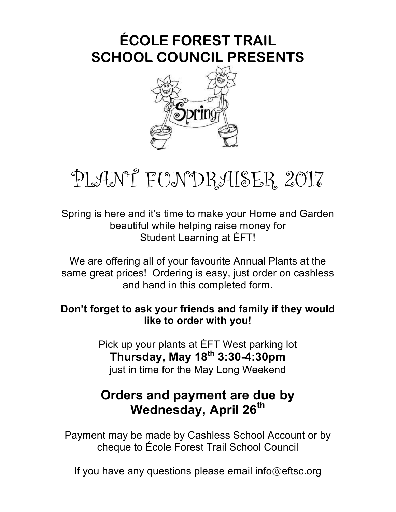## **ÉCOLE FOREST TRAIL SCHOOL COUNCIL PRESENTS**



## PLANT FUNDRAISER 2017

Spring is here and it's time to make your Home and Garden beautiful while helping raise money for Student Learning at ÉFT!

We are offering all of your favourite Annual Plants at the same great prices! Ordering is easy, just order on cashless and hand in this completed form.

## **Don't forget to ask your friends and family if they would like to order with you!**

Pick up your plants at ÉFT West parking lot **Thursday, May 18th 3:30-4:30pm**  just in time for the May Long Weekend

## **Orders and payment are due by Wednesday, April 26th**

Payment may be made by Cashless School Account or by cheque to École Forest Trail School Council

If you have any questions please email info@eftsc.org